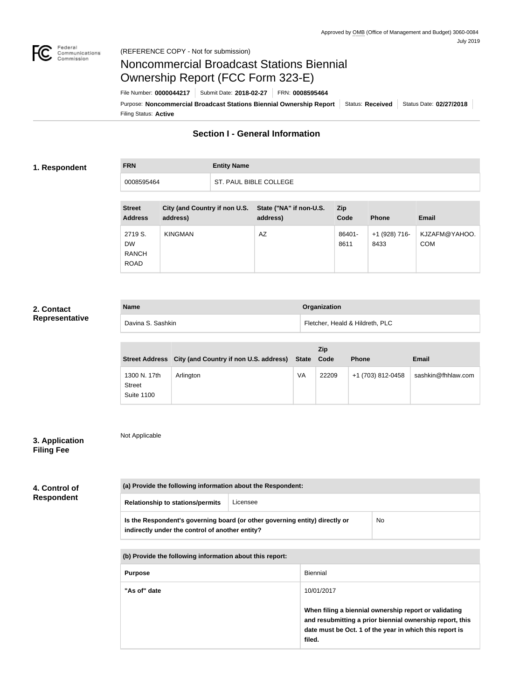

# Noncommercial Broadcast Stations Biennial Ownership Report (FCC Form 323-E)

Filing Status: **Active** Purpose: Noncommercial Broadcast Stations Biennial Ownership Report | Status: Received | Status Date: 02/27/2018 File Number: **0000044217** Submit Date: **2018-02-27** FRN: **0008595464**

## **Section I - General Information**

#### **1. Respondent**

## **FRN Entity Name** 0008595464 ST. PAUL BIBLE COLLEGE

| <b>Street</b><br><b>Address</b>                     | <b>City (and Country if non U.S.</b><br>address) | State ("NA" if non-U.S.<br>address) | <b>Zip</b><br>Code | <b>Phone</b>          | <b>Email</b>                |
|-----------------------------------------------------|--------------------------------------------------|-------------------------------------|--------------------|-----------------------|-----------------------------|
| 2719 S.<br><b>DW</b><br><b>RANCH</b><br><b>ROAD</b> | <b>KINGMAN</b>                                   | AZ                                  | 86401-<br>8611     | +1 (928) 716-<br>8433 | KJZAFM@YAHOO.<br><b>COM</b> |

## **2. Contact Representative**

| <b>Name</b>       | <b>Organization</b>             |
|-------------------|---------------------------------|
| Davina S. Sashkin | Fletcher, Heald & Hildreth, PLC |

|                                             | Street Address City (and Country if non U.S. address) | State | Zip<br>Code | <b>Phone</b>      | <b>Email</b>       |
|---------------------------------------------|-------------------------------------------------------|-------|-------------|-------------------|--------------------|
| 1300 N. 17th<br>Street<br><b>Suite 1100</b> | Arlington                                             | VA    | 22209       | +1 (703) 812-0458 | sashkin@fhhlaw.com |

## **3. Application Filing Fee**

Not Applicable

| 4. Control of     |  |
|-------------------|--|
| <b>Respondent</b> |  |

| (a) Provide the following information about the Respondent: |                                                                             |    |  |
|-------------------------------------------------------------|-----------------------------------------------------------------------------|----|--|
| <b>Relationship to stations/permits</b>                     | Licensee                                                                    |    |  |
| indirectly under the control of another entity?             | Is the Respondent's governing board (or other governing entity) directly or | No |  |

| (b) Provide the following information about this report: |                                                                                                                                                                                        |  |
|----------------------------------------------------------|----------------------------------------------------------------------------------------------------------------------------------------------------------------------------------------|--|
| <b>Purpose</b>                                           | <b>Biennial</b>                                                                                                                                                                        |  |
| "As of" date                                             | 10/01/2017                                                                                                                                                                             |  |
|                                                          | When filing a biennial ownership report or validating<br>and resubmitting a prior biennial ownership report, this<br>date must be Oct. 1 of the year in which this report is<br>filed. |  |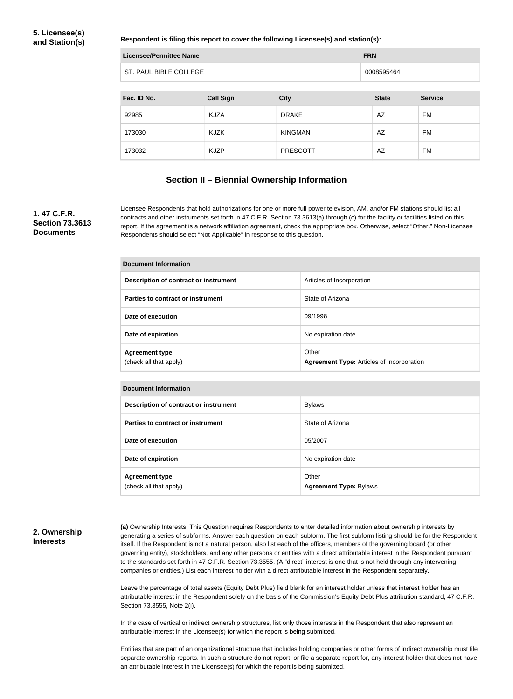**Respondent is filing this report to cover the following Licensee(s) and station(s):**

| <b>Licensee/Permittee Name</b> | <b>FRN</b>       |                 |              |                |
|--------------------------------|------------------|-----------------|--------------|----------------|
| ST. PAUL BIBLE COLLEGE         |                  |                 | 0008595464   |                |
|                                |                  |                 |              |                |
| Fac. ID No.                    | <b>Call Sign</b> | <b>City</b>     | <b>State</b> | <b>Service</b> |
| 92985                          | <b>KJZA</b>      | <b>DRAKE</b>    | AZ           | FM             |
| 173030                         | KJZK             | <b>KINGMAN</b>  | AZ           | FM             |
| 173032                         | <b>KJZP</b>      | <b>PRESCOTT</b> | AZ           | FM             |

#### **Section II – Biennial Ownership Information**

#### **1. 47 C.F.R. Section 73.3613 Documents**

Licensee Respondents that hold authorizations for one or more full power television, AM, and/or FM stations should list all contracts and other instruments set forth in 47 C.F.R. Section 73.3613(a) through (c) for the facility or facilities listed on this report. If the agreement is a network affiliation agreement, check the appropriate box. Otherwise, select "Other." Non-Licensee Respondents should select "Not Applicable" in response to this question.

| Document Information                            |                                                           |  |
|-------------------------------------------------|-----------------------------------------------------------|--|
| Description of contract or instrument           | Articles of Incorporation                                 |  |
| Parties to contract or instrument               | State of Arizona                                          |  |
| Date of execution                               | 09/1998                                                   |  |
| Date of expiration                              | No expiration date                                        |  |
| <b>Agreement type</b><br>(check all that apply) | Other<br><b>Agreement Type: Articles of Incorporation</b> |  |

| <b>Document Information</b>                     |                                        |  |
|-------------------------------------------------|----------------------------------------|--|
| Description of contract or instrument           | <b>Bylaws</b>                          |  |
| Parties to contract or instrument               | State of Arizona                       |  |
| Date of execution                               | 05/2007                                |  |
| Date of expiration                              | No expiration date                     |  |
| <b>Agreement type</b><br>(check all that apply) | Other<br><b>Agreement Type: Bylaws</b> |  |

#### **2. Ownership Interests**

**(a)** Ownership Interests. This Question requires Respondents to enter detailed information about ownership interests by generating a series of subforms. Answer each question on each subform. The first subform listing should be for the Respondent itself. If the Respondent is not a natural person, also list each of the officers, members of the governing board (or other governing entity), stockholders, and any other persons or entities with a direct attributable interest in the Respondent pursuant to the standards set forth in 47 C.F.R. Section 73.3555. (A "direct" interest is one that is not held through any intervening companies or entities.) List each interest holder with a direct attributable interest in the Respondent separately.

Leave the percentage of total assets (Equity Debt Plus) field blank for an interest holder unless that interest holder has an attributable interest in the Respondent solely on the basis of the Commission's Equity Debt Plus attribution standard, 47 C.F.R. Section 73.3555, Note 2(i).

In the case of vertical or indirect ownership structures, list only those interests in the Respondent that also represent an attributable interest in the Licensee(s) for which the report is being submitted.

Entities that are part of an organizational structure that includes holding companies or other forms of indirect ownership must file separate ownership reports. In such a structure do not report, or file a separate report for, any interest holder that does not have an attributable interest in the Licensee(s) for which the report is being submitted.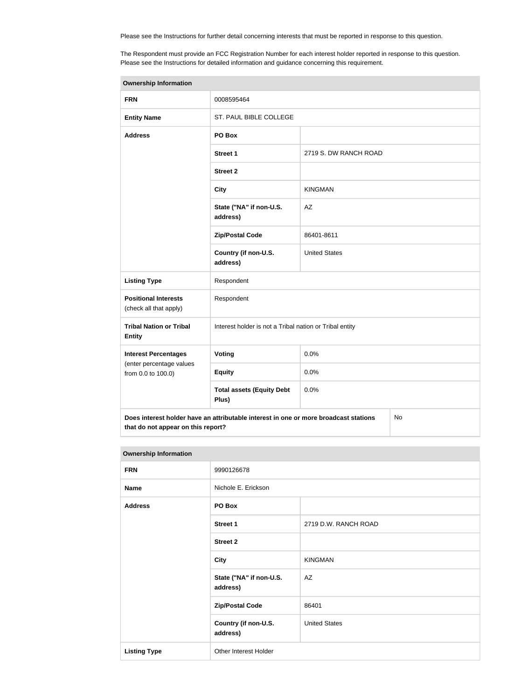Please see the Instructions for further detail concerning interests that must be reported in response to this question.

The Respondent must provide an FCC Registration Number for each interest holder reported in response to this question. Please see the Instructions for detailed information and guidance concerning this requirement.

| <b>Ownership Information</b>                                                                                                     |                                                         |                       |  |  |
|----------------------------------------------------------------------------------------------------------------------------------|---------------------------------------------------------|-----------------------|--|--|
| <b>FRN</b>                                                                                                                       | 0008595464                                              |                       |  |  |
| <b>Entity Name</b>                                                                                                               | ST. PAUL BIBLE COLLEGE                                  |                       |  |  |
| <b>Address</b>                                                                                                                   | PO Box                                                  |                       |  |  |
|                                                                                                                                  | <b>Street 1</b>                                         | 2719 S. DW RANCH ROAD |  |  |
|                                                                                                                                  | <b>Street 2</b>                                         |                       |  |  |
|                                                                                                                                  | <b>City</b>                                             | <b>KINGMAN</b>        |  |  |
|                                                                                                                                  | State ("NA" if non-U.S.<br>address)                     | AZ                    |  |  |
|                                                                                                                                  | <b>Zip/Postal Code</b>                                  | 86401-8611            |  |  |
|                                                                                                                                  | Country (if non-U.S.<br>address)                        | <b>United States</b>  |  |  |
| <b>Listing Type</b>                                                                                                              | Respondent                                              |                       |  |  |
| <b>Positional Interests</b><br>(check all that apply)                                                                            | Respondent                                              |                       |  |  |
| <b>Tribal Nation or Tribal</b><br><b>Entity</b>                                                                                  | Interest holder is not a Tribal nation or Tribal entity |                       |  |  |
| <b>Interest Percentages</b>                                                                                                      | Voting                                                  | 0.0%                  |  |  |
| (enter percentage values<br>from 0.0 to 100.0)                                                                                   | <b>Equity</b>                                           | 0.0%                  |  |  |
|                                                                                                                                  | <b>Total assets (Equity Debt</b><br>Plus)               | 0.0%                  |  |  |
| Does interest holder have an attributable interest in one or more broadcast stations<br>No<br>that do not appear on this report? |                                                         |                       |  |  |

| <b>Ownership Information</b> |                                     |                      |  |
|------------------------------|-------------------------------------|----------------------|--|
| <b>FRN</b>                   | 9990126678                          |                      |  |
| <b>Name</b>                  | Nichole E. Erickson                 |                      |  |
| <b>Address</b>               | PO Box                              |                      |  |
|                              | <b>Street 1</b>                     | 2719 D.W. RANCH ROAD |  |
|                              | <b>Street 2</b>                     |                      |  |
|                              | <b>City</b>                         | <b>KINGMAN</b>       |  |
|                              | State ("NA" if non-U.S.<br>address) | AZ                   |  |
|                              | <b>Zip/Postal Code</b>              | 86401                |  |
|                              | Country (if non-U.S.<br>address)    | <b>United States</b> |  |
| <b>Listing Type</b>          | Other Interest Holder               |                      |  |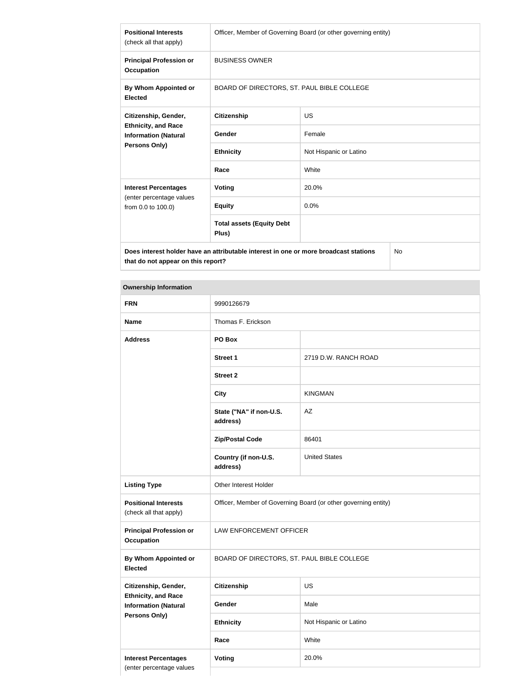| <b>Positional Interests</b><br>(check all that apply)                                       | Officer, Member of Governing Board (or other governing entity) |                        |  |
|---------------------------------------------------------------------------------------------|----------------------------------------------------------------|------------------------|--|
| <b>Principal Profession or</b><br>Occupation                                                | <b>BUSINESS OWNER</b>                                          |                        |  |
| By Whom Appointed or<br><b>Elected</b>                                                      | BOARD OF DIRECTORS, ST. PAUL BIBLE COLLEGE                     |                        |  |
| Citizenship, Gender,                                                                        | <b>Citizenship</b>                                             | <b>US</b>              |  |
| <b>Ethnicity, and Race</b><br><b>Information (Natural</b>                                   | Gender                                                         | Female                 |  |
| Persons Only)                                                                               | <b>Ethnicity</b>                                               | Not Hispanic or Latino |  |
|                                                                                             | Race                                                           | White                  |  |
| <b>Interest Percentages</b>                                                                 | Voting                                                         | 20.0%                  |  |
| (enter percentage values<br>from 0.0 to 100.0)                                              | <b>Equity</b>                                                  | 0.0%                   |  |
|                                                                                             | <b>Total assets (Equity Debt</b><br>Plus)                      |                        |  |
| Does interest holder have an attributable interest in one or more broadcast stations<br>No. |                                                                |                        |  |

**that do not appear on this report?**

## **Ownership Information**

| <b>FRN</b>                                                                        | 9990126679                                                     |                        |  |
|-----------------------------------------------------------------------------------|----------------------------------------------------------------|------------------------|--|
| <b>Name</b>                                                                       | Thomas F. Erickson                                             |                        |  |
| <b>Address</b>                                                                    | PO Box                                                         |                        |  |
|                                                                                   | <b>Street 1</b>                                                | 2719 D.W. RANCH ROAD   |  |
|                                                                                   | <b>Street 2</b>                                                |                        |  |
|                                                                                   | <b>City</b>                                                    | <b>KINGMAN</b>         |  |
|                                                                                   | State ("NA" if non-U.S.<br>address)                            | AZ                     |  |
|                                                                                   | <b>Zip/Postal Code</b>                                         | 86401                  |  |
|                                                                                   | Country (if non-U.S.<br>address)                               | <b>United States</b>   |  |
| <b>Listing Type</b>                                                               | Other Interest Holder                                          |                        |  |
| <b>Positional Interests</b><br>(check all that apply)                             | Officer, Member of Governing Board (or other governing entity) |                        |  |
| <b>Principal Profession or</b><br><b>Occupation</b>                               | <b>LAW ENFORCEMENT OFFICER</b>                                 |                        |  |
| <b>By Whom Appointed or</b><br><b>Elected</b>                                     | BOARD OF DIRECTORS, ST. PAUL BIBLE COLLEGE                     |                        |  |
| Citizenship, Gender,                                                              | <b>Citizenship</b>                                             | US                     |  |
| <b>Ethnicity, and Race</b><br><b>Information (Natural</b><br><b>Persons Only)</b> | Gender                                                         | Male                   |  |
|                                                                                   | <b>Ethnicity</b>                                               | Not Hispanic or Latino |  |
|                                                                                   | Race                                                           | White                  |  |
| <b>Interest Percentages</b>                                                       | Voting<br>20.0%                                                |                        |  |
| (enter percentage values                                                          |                                                                |                        |  |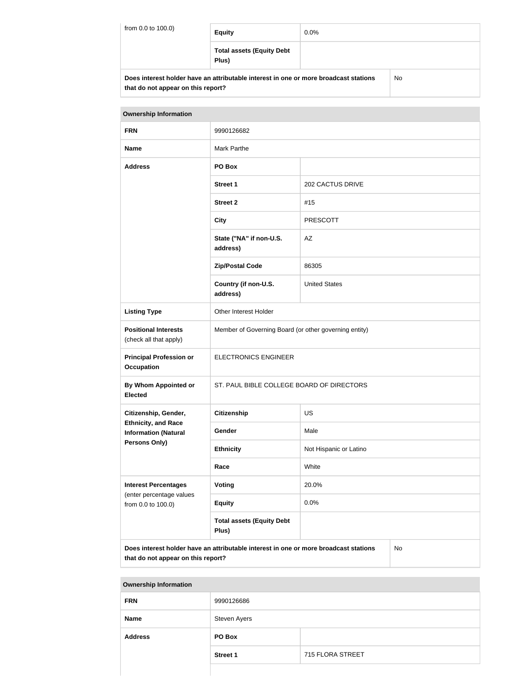| from 0.0 to 100.0) | <b>Equity</b>                                                                        | $0.0\%$ |     |
|--------------------|--------------------------------------------------------------------------------------|---------|-----|
|                    | <b>Total assets (Equity Debt</b><br>Plus)                                            |         |     |
|                    | Does interest holder have an attributable interest in one or more broadcast stations |         | No. |

**that do not appear on this report?**

| <b>Ownership Information</b>                                                                                                            |                                                       |                        |  |  |
|-----------------------------------------------------------------------------------------------------------------------------------------|-------------------------------------------------------|------------------------|--|--|
| <b>FRN</b>                                                                                                                              | 9990126682                                            |                        |  |  |
| <b>Name</b>                                                                                                                             | <b>Mark Parthe</b>                                    |                        |  |  |
| <b>Address</b>                                                                                                                          | PO Box                                                |                        |  |  |
|                                                                                                                                         | <b>Street 1</b>                                       | 202 CACTUS DRIVE       |  |  |
|                                                                                                                                         | <b>Street 2</b>                                       | #15                    |  |  |
|                                                                                                                                         | <b>City</b>                                           | <b>PRESCOTT</b>        |  |  |
|                                                                                                                                         | State ("NA" if non-U.S.<br>address)                   | AZ                     |  |  |
|                                                                                                                                         | <b>Zip/Postal Code</b>                                | 86305                  |  |  |
|                                                                                                                                         | Country (if non-U.S.<br>address)                      | <b>United States</b>   |  |  |
| <b>Listing Type</b>                                                                                                                     | Other Interest Holder                                 |                        |  |  |
| <b>Positional Interests</b><br>(check all that apply)                                                                                   | Member of Governing Board (or other governing entity) |                        |  |  |
| <b>Principal Profession or</b><br><b>Occupation</b>                                                                                     | <b>ELECTRONICS ENGINEER</b>                           |                        |  |  |
| By Whom Appointed or<br><b>Elected</b>                                                                                                  | ST. PAUL BIBLE COLLEGE BOARD OF DIRECTORS             |                        |  |  |
| Citizenship, Gender,                                                                                                                    | <b>Citizenship</b><br><b>US</b>                       |                        |  |  |
| <b>Ethnicity, and Race</b><br><b>Information (Natural</b>                                                                               | Gender                                                | Male                   |  |  |
| <b>Persons Only)</b>                                                                                                                    | <b>Ethnicity</b>                                      | Not Hispanic or Latino |  |  |
|                                                                                                                                         | White<br>Race                                         |                        |  |  |
| <b>Interest Percentages</b>                                                                                                             | Voting                                                | 20.0%                  |  |  |
| (enter percentage values<br>from 0.0 to 100.0)                                                                                          | <b>Equity</b>                                         | 0.0%                   |  |  |
|                                                                                                                                         | <b>Total assets (Equity Debt</b><br>Plus)             |                        |  |  |
| Does interest holder have an attributable interest in one or more broadcast stations<br><b>No</b><br>that do not appear on this report? |                                                       |                        |  |  |

| <b>Ownership Information</b> |                 |                  |  |  |
|------------------------------|-----------------|------------------|--|--|
| <b>FRN</b>                   | 9990126686      |                  |  |  |
| <b>Name</b>                  | Steven Ayers    |                  |  |  |
| <b>Address</b>               | PO Box          |                  |  |  |
|                              | <b>Street 1</b> | 715 FLORA STREET |  |  |
|                              |                 |                  |  |  |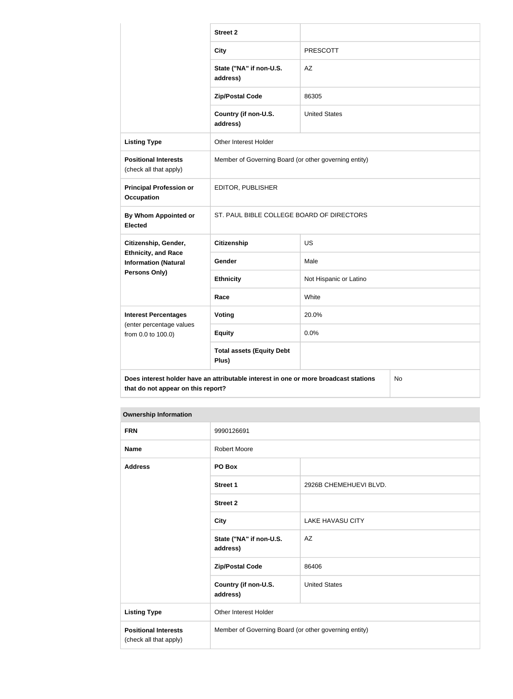|                                                                                                                                  | <b>Street 2</b>                                       |                        |  |
|----------------------------------------------------------------------------------------------------------------------------------|-------------------------------------------------------|------------------------|--|
|                                                                                                                                  | <b>City</b>                                           | <b>PRESCOTT</b>        |  |
|                                                                                                                                  | State ("NA" if non-U.S.<br>address)                   | AZ                     |  |
|                                                                                                                                  | <b>Zip/Postal Code</b>                                | 86305                  |  |
|                                                                                                                                  | Country (if non-U.S.<br>address)                      | <b>United States</b>   |  |
| <b>Listing Type</b>                                                                                                              | Other Interest Holder                                 |                        |  |
| <b>Positional Interests</b><br>(check all that apply)                                                                            | Member of Governing Board (or other governing entity) |                        |  |
| <b>Principal Profession or</b><br><b>Occupation</b>                                                                              | EDITOR, PUBLISHER                                     |                        |  |
| By Whom Appointed or<br><b>Elected</b>                                                                                           | ST. PAUL BIBLE COLLEGE BOARD OF DIRECTORS             |                        |  |
| Citizenship, Gender,                                                                                                             | <b>Citizenship</b>                                    | US                     |  |
| <b>Ethnicity, and Race</b><br><b>Information (Natural</b>                                                                        | Gender                                                | Male                   |  |
| Persons Only)                                                                                                                    | <b>Ethnicity</b>                                      | Not Hispanic or Latino |  |
|                                                                                                                                  | Race                                                  | White                  |  |
| <b>Interest Percentages</b>                                                                                                      | Voting                                                | 20.0%                  |  |
| (enter percentage values<br>from 0.0 to 100.0)                                                                                   | <b>Equity</b>                                         | 0.0%                   |  |
|                                                                                                                                  | <b>Total assets (Equity Debt</b><br>Plus)             |                        |  |
| Does interest holder have an attributable interest in one or more broadcast stations<br>No<br>that do not appear on this report? |                                                       |                        |  |

## **Ownership Information**

| <b>FRN</b>                                            | 9990126691                                            |                         |  |
|-------------------------------------------------------|-------------------------------------------------------|-------------------------|--|
| <b>Name</b>                                           | <b>Robert Moore</b>                                   |                         |  |
| <b>Address</b>                                        | PO Box                                                |                         |  |
|                                                       | <b>Street 1</b>                                       | 2926B CHEMEHUEVI BLVD.  |  |
|                                                       | <b>Street 2</b>                                       |                         |  |
|                                                       | <b>City</b>                                           | <b>LAKE HAVASU CITY</b> |  |
|                                                       | State ("NA" if non-U.S.<br>address)                   | AZ                      |  |
|                                                       | <b>Zip/Postal Code</b>                                | 86406                   |  |
|                                                       | Country (if non-U.S.<br>address)                      | <b>United States</b>    |  |
| <b>Listing Type</b>                                   | <b>Other Interest Holder</b>                          |                         |  |
| <b>Positional Interests</b><br>(check all that apply) | Member of Governing Board (or other governing entity) |                         |  |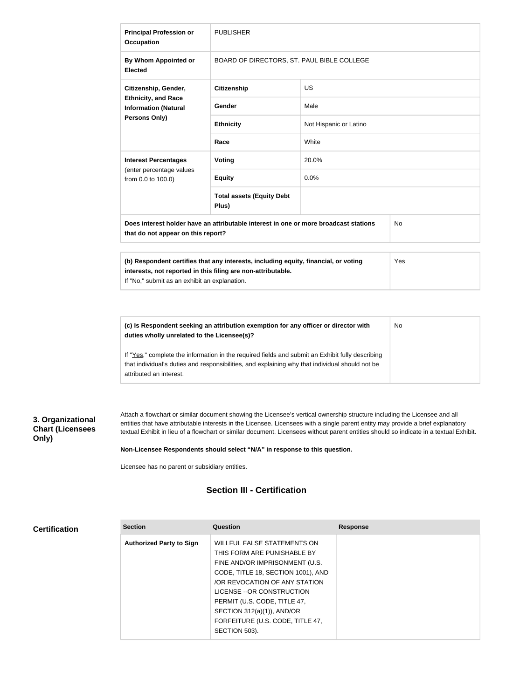| <b>Principal Profession or</b><br><b>Occupation</b>                                                                                     | <b>PUBLISHER</b>                                                                                                                                    |                        |     |
|-----------------------------------------------------------------------------------------------------------------------------------------|-----------------------------------------------------------------------------------------------------------------------------------------------------|------------------------|-----|
| By Whom Appointed or<br><b>Elected</b>                                                                                                  | BOARD OF DIRECTORS, ST. PAUL BIBLE COLLEGE                                                                                                          |                        |     |
| Citizenship, Gender,                                                                                                                    | <b>Citizenship</b>                                                                                                                                  | <b>US</b>              |     |
| <b>Ethnicity, and Race</b><br><b>Information (Natural</b>                                                                               | Gender                                                                                                                                              | Male                   |     |
| Persons Only)                                                                                                                           | <b>Ethnicity</b>                                                                                                                                    | Not Hispanic or Latino |     |
|                                                                                                                                         | Race                                                                                                                                                | White                  |     |
| <b>Interest Percentages</b><br>(enter percentage values<br>from 0.0 to 100.0)                                                           | Voting                                                                                                                                              | 20.0%                  |     |
|                                                                                                                                         | <b>Equity</b>                                                                                                                                       | 0.0%                   |     |
|                                                                                                                                         | <b>Total assets (Equity Debt</b><br>Plus)                                                                                                           |                        |     |
| Does interest holder have an attributable interest in one or more broadcast stations<br><b>No</b><br>that do not appear on this report? |                                                                                                                                                     |                        |     |
|                                                                                                                                         |                                                                                                                                                     |                        |     |
| If "No," submit as an exhibit an explanation.                                                                                           | (b) Respondent certifies that any interests, including equity, financial, or voting<br>interests, not reported in this filing are non-attributable. |                        | Yes |

**(c) Is Respondent seeking an attribution exemption for any officer or director with duties wholly unrelated to the Licensee(s)?** No

If "Yes," complete the information in the required fields and submit an Exhibit fully describing that individual's duties and responsibilities, and explaining why that individual should not be attributed an interest.

## **3. Organizational Chart (Licensees Only)**

Attach a flowchart or similar document showing the Licensee's vertical ownership structure including the Licensee and all entities that have attributable interests in the Licensee. Licensees with a single parent entity may provide a brief explanatory textual Exhibit in lieu of a flowchart or similar document. Licensees without parent entities should so indicate in a textual Exhibit.

#### **Non-Licensee Respondents should select "N/A" in response to this question.**

Licensee has no parent or subsidiary entities.

## **Section III - Certification**

| <b>Section</b>                  | Question                           | <b>Response</b> |
|---------------------------------|------------------------------------|-----------------|
| <b>Authorized Party to Sign</b> | WILLFUL FALSE STATEMENTS ON        |                 |
|                                 | THIS FORM ARE PUNISHABLE BY        |                 |
|                                 | FINE AND/OR IMPRISONMENT (U.S.     |                 |
|                                 | CODE, TITLE 18, SECTION 1001), AND |                 |
|                                 | OR REVOCATION OF ANY STATION       |                 |
|                                 | LICENSE -- OR CONSTRUCTION         |                 |
|                                 | PERMIT (U.S. CODE, TITLE 47,       |                 |
|                                 | SECTION $312(a)(1)$ ), AND/OR      |                 |
|                                 | FORFEITURE (U.S. CODE, TITLE 47,   |                 |
|                                 | SECTION 503).                      |                 |
|                                 |                                    |                 |

## **Certification**